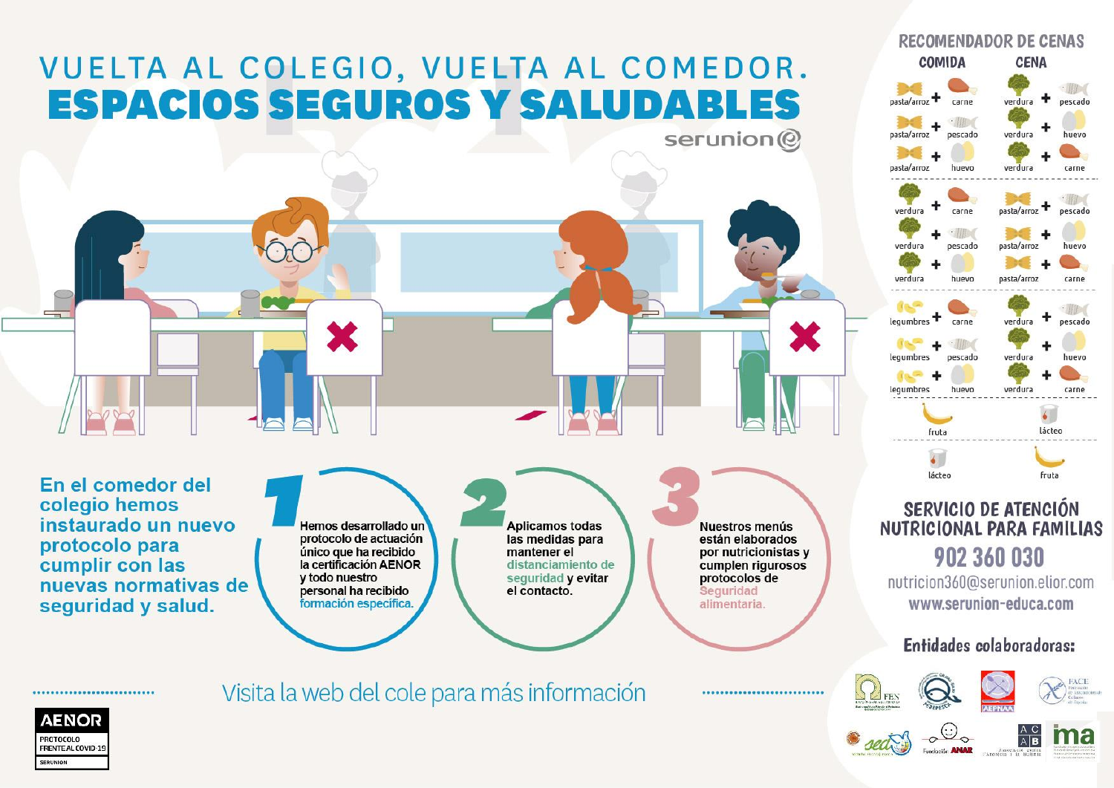